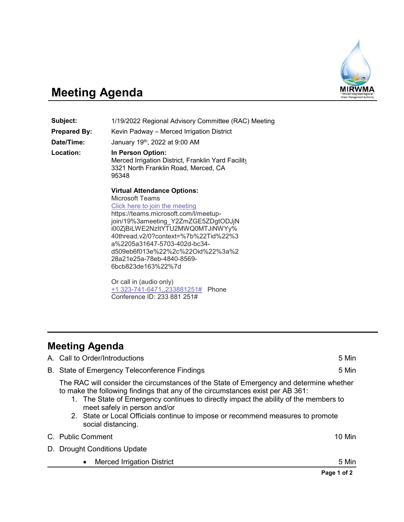

## **Meeting Agenda**

**Subject:** 1/19/2022 Regional Advisory Committee (RAC) Meeting **Prepared By:** Kevin Padway – Merced Irrigation District **Date/Time:** January 19th, 2022 at 9:00 AM **Location: In Person Option:** Merced Irrigation District, Franklin Yard Facility 3321 North Franklin Road, Merced, CA 95348

> **Virtual Attendance Options:** Microsoft Teams [Click here to join the meeting](https://teams.microsoft.com/l/meetup-join/19%3ameeting_Y2ZmZGE5ZDgtODJjNi00ZjBiLWE2NzItYTU2MWQ0MTJiNWYy%40thread.v2/0?context=%7b%22Tid%22%3a%2205a31647-5703-402d-bc34-d509eb6f013e%22%2c%22Oid%22%3a%228a21e25a-78eb-4840-8569-6bcb823de163%22%7d) https://teams.microsoft.com/l/meetupjoin/19%3ameeting\_Y2ZmZGE5ZDgtODJjN i00ZjBiLWE2NzItYTU2MWQ0MTJiNWYy% 40thread.v2/0?context=%7b%22Tid%22%3 a%2205a31647-5703-402d-bc34 d509eb6f013e%22%2c%22Oid%22%3a%2 28a21e25a-78eb-4840-8569- 6bcb823de163%22%7d

Or call in (audio only) [+1 323-741-6471,,233881251#](tel:+13237416471,,233881251#%20) Phone Conference ID: 233 881 251#

## **Meeting Agenda**

|                                                                                                                                                                                                                                                                                                                                                                                                            | Page 1 of 2 |  |
|------------------------------------------------------------------------------------------------------------------------------------------------------------------------------------------------------------------------------------------------------------------------------------------------------------------------------------------------------------------------------------------------------------|-------------|--|
| <b>Merced Irrigation District</b>                                                                                                                                                                                                                                                                                                                                                                          | 5 Min       |  |
| D. Drought Conditions Update                                                                                                                                                                                                                                                                                                                                                                               |             |  |
| C. Public Comment                                                                                                                                                                                                                                                                                                                                                                                          | 10 Min      |  |
| The RAC will consider the circumstances of the State of Emergency and determine whether<br>to make the following findings that any of the circumstances exist per AB 361:<br>1. The State of Emergency continues to directly impact the ability of the members to<br>meet safely in person and/or<br>2. State or Local Officials continue to impose or recommend measures to promote<br>social distancing. |             |  |
| B. State of Emergency Teleconference Findings                                                                                                                                                                                                                                                                                                                                                              | 5 Min       |  |
| A. Call to Order/Introductions<br>5 Min                                                                                                                                                                                                                                                                                                                                                                    |             |  |